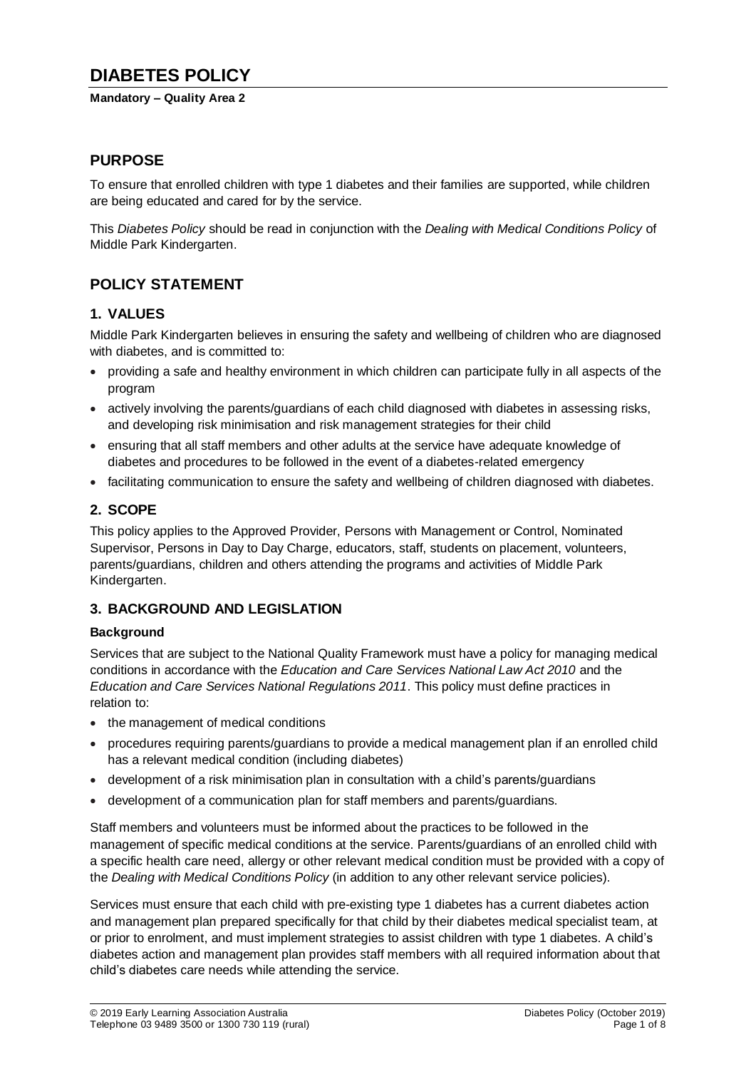# **DIABETES POLICY**

#### **Mandatory – Quality Area 2**

## **PURPOSE**

To ensure that enrolled children with type 1 diabetes and their families are supported, while children are being educated and cared for by the service.

This *Diabetes Policy* should be read in conjunction with the *Dealing with Medical Conditions Policy* of Middle Park Kindergarten.

## **POLICY STATEMENT**

## **1. VALUES**

Middle Park Kindergarten believes in ensuring the safety and wellbeing of children who are diagnosed with diabetes, and is committed to:

- providing a safe and healthy environment in which children can participate fully in all aspects of the program
- actively involving the parents/guardians of each child diagnosed with diabetes in assessing risks, and developing risk minimisation and risk management strategies for their child
- ensuring that all staff members and other adults at the service have adequate knowledge of diabetes and procedures to be followed in the event of a diabetes-related emergency
- facilitating communication to ensure the safety and wellbeing of children diagnosed with diabetes.

## **2. SCOPE**

This policy applies to the Approved Provider, Persons with Management or Control, Nominated Supervisor, Persons in Day to Day Charge, educators, staff, students on placement, volunteers, parents/guardians, children and others attending the programs and activities of Middle Park Kindergarten.

## **3. BACKGROUND AND LEGISLATION**

### **Background**

Services that are subject to the National Quality Framework must have a policy for managing medical conditions in accordance with the *Education and Care Services National Law Act 2010* and the *Education and Care Services National Regulations 2011*. This policy must define practices in relation to:

- the management of medical conditions
- procedures requiring parents/guardians to provide a medical management plan if an enrolled child has a relevant medical condition (including diabetes)
- development of a risk minimisation plan in consultation with a child's parents/guardians
- development of a communication plan for staff members and parents/guardians.

Staff members and volunteers must be informed about the practices to be followed in the management of specific medical conditions at the service. Parents/guardians of an enrolled child with a specific health care need, allergy or other relevant medical condition must be provided with a copy of the *Dealing with Medical Conditions Policy* (in addition to any other relevant service policies).

Services must ensure that each child with pre-existing type 1 diabetes has a current diabetes action and management plan prepared specifically for that child by their diabetes medical specialist team, at or prior to enrolment, and must implement strategies to assist children with type 1 diabetes. A child's diabetes action and management plan provides staff members with all required information about that child's diabetes care needs while attending the service.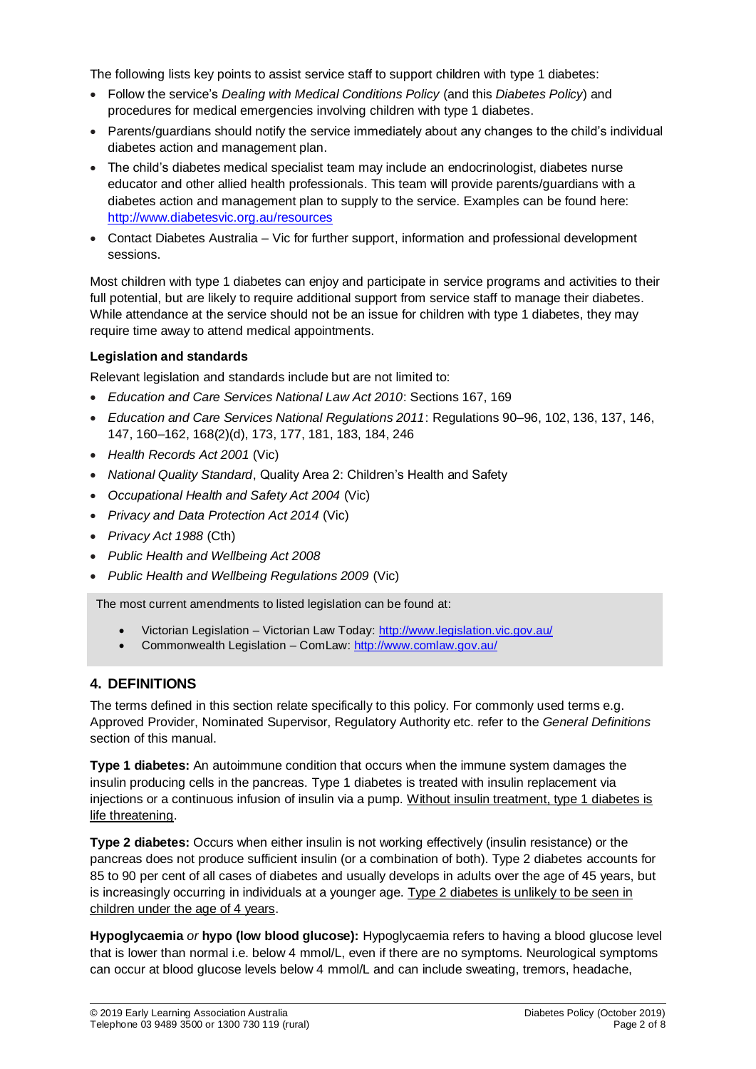The following lists key points to assist service staff to support children with type 1 diabetes:

- Follow the service's *Dealing with Medical Conditions Policy* (and this *Diabetes Policy*) and procedures for medical emergencies involving children with type 1 diabetes.
- Parents/guardians should notify the service immediately about any changes to the child's individual diabetes action and management plan.
- The child's diabetes medical specialist team may include an endocrinologist, diabetes nurse educator and other allied health professionals. This team will provide parents/guardians with a diabetes action and management plan to supply to the service. Examples can be found here: <http://www.diabetesvic.org.au/resources>
- Contact Diabetes Australia Vic for further support, information and professional development sessions.

Most children with type 1 diabetes can enjoy and participate in service programs and activities to their full potential, but are likely to require additional support from service staff to manage their diabetes. While attendance at the service should not be an issue for children with type 1 diabetes, they may require time away to attend medical appointments.

### **Legislation and standards**

Relevant legislation and standards include but are not limited to:

- *Education and Care Services National Law Act 2010*: Sections 167, 169
- *Education and Care Services National Regulations 2011*: Regulations 90–96, 102, 136, 137, 146, 147, 160–162, 168(2)(d), 173, 177, 181, 183, 184, 246
- *Health Records Act 2001* (Vic)
- *National Quality Standard*, Quality Area 2: Children's Health and Safety
- *Occupational Health and Safety Act 2004* (Vic)
- *Privacy and Data Protection Act 2014* (Vic)
- *Privacy Act 1988* (Cth)
- *Public Health and Wellbeing Act 2008*
- *Public Health and Wellbeing Regulations 2009* (Vic)

The most current amendments to listed legislation can be found at:

- Victorian Legislation Victorian Law Today:<http://www.legislation.vic.gov.au/>
- Commonwealth Legislation ComLaw:<http://www.comlaw.gov.au/>

## **4. DEFINITIONS**

The terms defined in this section relate specifically to this policy. For commonly used terms e.g. Approved Provider, Nominated Supervisor, Regulatory Authority etc. refer to the *General Definitions* section of this manual.

**Type 1 diabetes:** An autoimmune condition that occurs when the immune system damages the insulin producing cells in the pancreas. Type 1 diabetes is treated with insulin replacement via injections or a continuous infusion of insulin via a pump. Without insulin treatment, type 1 diabetes is life threatening.

**Type 2 diabetes:** Occurs when either insulin is not working effectively (insulin resistance) or the pancreas does not produce sufficient insulin (or a combination of both). Type 2 diabetes accounts for 85 to 90 per cent of all cases of diabetes and usually develops in adults over the age of 45 years, but is increasingly occurring in individuals at a younger age. Type 2 diabetes is unlikely to be seen in children under the age of 4 years.

**Hypoglycaemia** *or* **hypo (low blood glucose):** Hypoglycaemia refers to having a blood glucose level that is lower than normal i.e. below 4 mmol/L, even if there are no symptoms. Neurological symptoms can occur at blood glucose levels below 4 mmol/L and can include sweating, tremors, headache,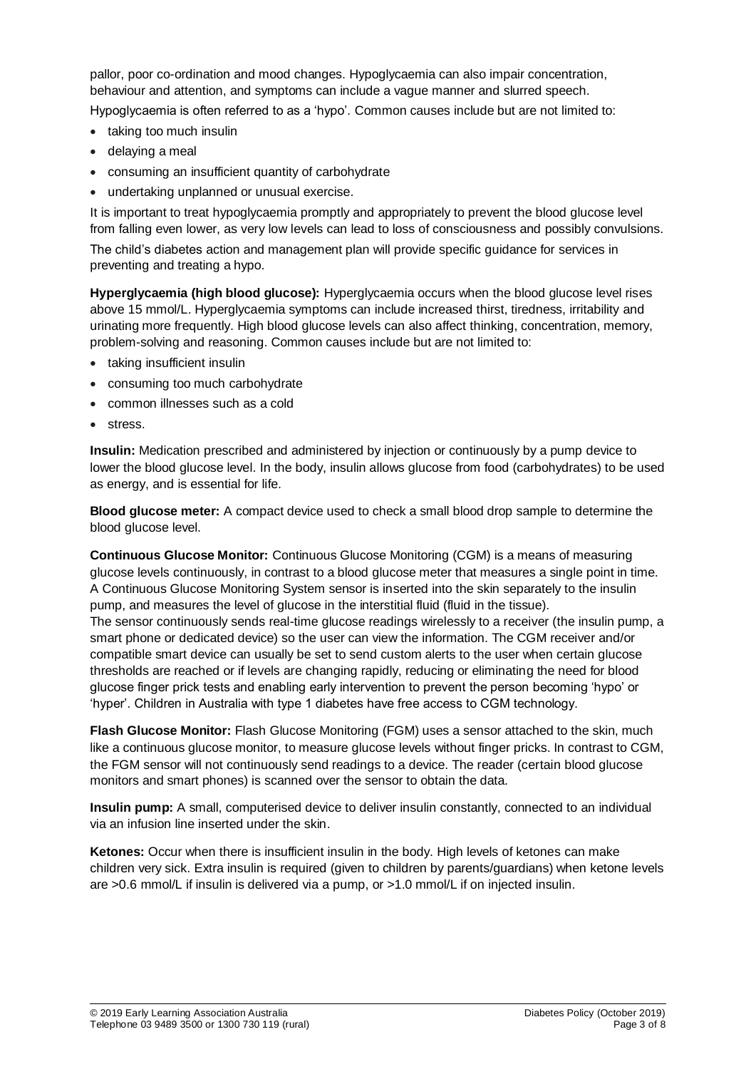pallor, poor co-ordination and mood changes. Hypoglycaemia can also impair concentration, behaviour and attention, and symptoms can include a vague manner and slurred speech.

Hypoglycaemia is often referred to as a 'hypo'. Common causes include but are not limited to:

- taking too much insulin
- delaying a meal
- consuming an insufficient quantity of carbohydrate
- undertaking unplanned or unusual exercise.

It is important to treat hypoglycaemia promptly and appropriately to prevent the blood glucose level from falling even lower, as very low levels can lead to loss of consciousness and possibly convulsions.

The child's diabetes action and management plan will provide specific guidance for services in preventing and treating a hypo.

**Hyperglycaemia (high blood glucose):** Hyperglycaemia occurs when the blood glucose level rises above 15 mmol/L. Hyperglycaemia symptoms can include increased thirst, tiredness, irritability and urinating more frequently. High blood glucose levels can also affect thinking, concentration, memory, problem-solving and reasoning. Common causes include but are not limited to:

- taking insufficient insulin
- consuming too much carbohydrate
- common illnesses such as a cold
- stress.

**Insulin:** Medication prescribed and administered by injection or continuously by a pump device to lower the blood glucose level. In the body, insulin allows glucose from food (carbohydrates) to be used as energy, and is essential for life.

**Blood glucose meter:** A compact device used to check a small blood drop sample to determine the blood glucose level.

**Continuous Glucose Monitor:** Continuous Glucose Monitoring (CGM) is a means of measuring glucose levels continuously, in contrast to a blood glucose meter that measures a single point in time. A Continuous Glucose Monitoring System sensor is inserted into the skin separately to the insulin pump, and measures the level of glucose in the interstitial fluid (fluid in the tissue). The sensor continuously sends real-time glucose readings wirelessly to a receiver (the insulin pump, a smart phone or dedicated device) so the user can view the information. The CGM receiver and/or compatible smart device can usually be set to send custom alerts to the user when certain glucose thresholds are reached or if levels are changing rapidly, reducing or eliminating the need for blood glucose finger prick tests and enabling early intervention to prevent the person becoming 'hypo' or 'hyper'. Children in Australia with type 1 diabetes have free access to CGM technology.

**Flash Glucose Monitor:** Flash Glucose Monitoring (FGM) uses a sensor attached to the skin, much like a continuous glucose monitor, to measure glucose levels without finger pricks. In contrast to CGM, the FGM sensor will not continuously send readings to a device. The reader (certain blood glucose monitors and smart phones) is scanned over the sensor to obtain the data.

**Insulin pump:** A small, computerised device to deliver insulin constantly, connected to an individual via an infusion line inserted under the skin.

**Ketones:** Occur when there is insufficient insulin in the body. High levels of ketones can make children very sick. Extra insulin is required (given to children by parents/guardians) when ketone levels are >0.6 mmol/L if insulin is delivered via a pump, or >1.0 mmol/L if on injected insulin.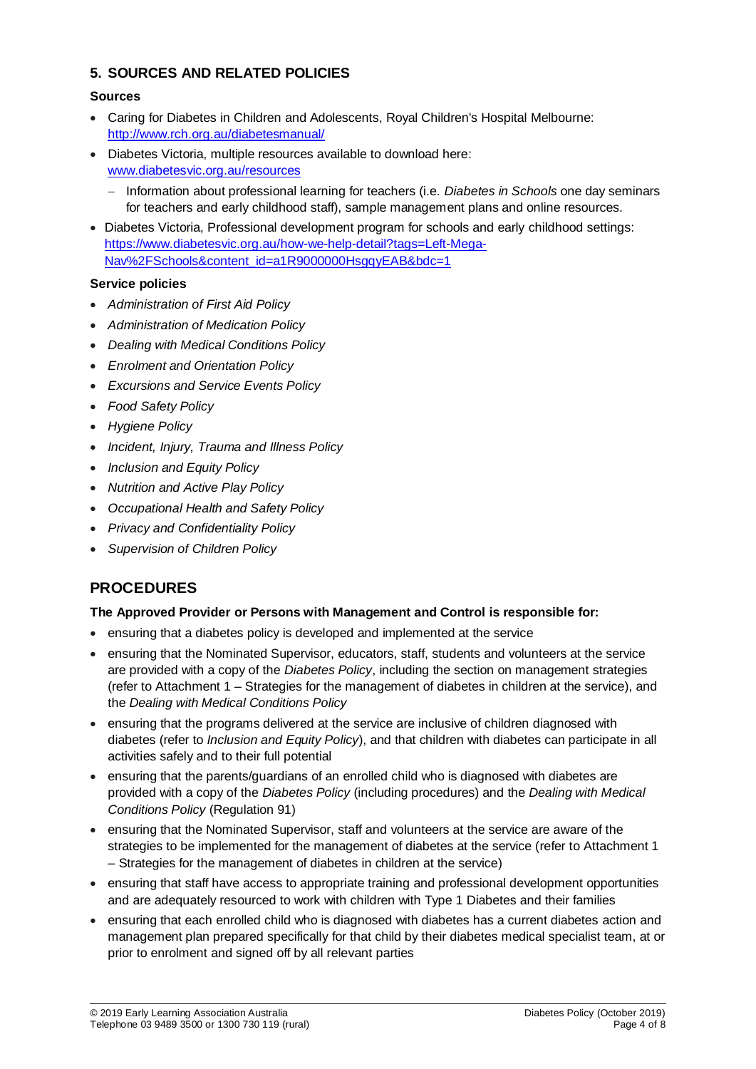## **5. SOURCES AND RELATED POLICIES**

### **Sources**

- Caring for Diabetes in Children and [Adolescents, Royal Children's Hospital](http://www.rch.org.au/diabetesmanual/index.cfm?doc_id=2352) Melbourne: <http://www.rch.org.au/diabetesmanual/>
- Diabetes Victoria, multiple resources available to download here: [www.diabetesvic.org.au/resources](http://www.diabetesvic.org.au/resources)
	- Information about professional learning for teachers (i.e. *Diabetes in Schools* one day seminars for teachers and early childhood staff), sample management plans and online resources.
- Diabetes Victoria, Professional development program for schools and early childhood settings: [https://www.diabetesvic.org.au/how-we-help-detail?tags=Left-Mega-](https://www.diabetesvic.org.au/how-we-help-detail?tags=Left-Mega-Nav%2FSchools&content_id=a1R9000000HsgqyEAB&bdc=1)[Nav%2FSchools&content\\_id=a1R9000000HsgqyEAB&bdc=1](https://www.diabetesvic.org.au/how-we-help-detail?tags=Left-Mega-Nav%2FSchools&content_id=a1R9000000HsgqyEAB&bdc=1)

### **Service policies**

- *Administration of First Aid Policy*
- *Administration of Medication Policy*
- *Dealing with Medical Conditions Policy*
- *Enrolment and Orientation Policy*
- *Excursions and Service Events Policy*
- *Food Safety Policy*
- *Hygiene Policy*
- *Incident, Injury, Trauma and Illness Policy*
- *Inclusion and Equity Policy*
- *Nutrition and Active Play Policy*
- *Occupational Health and Safety Policy*
- *Privacy and Confidentiality Policy*
- *Supervision of Children Policy*

## **PROCEDURES**

### **The Approved Provider or Persons with Management and Control is responsible for:**

- ensuring that a diabetes policy is developed and implemented at the service
- ensuring that the Nominated Supervisor, educators, staff, students and volunteers at the service are provided with a copy of the *Diabetes Policy*, including the section on management strategies (refer to Attachment 1 – Strategies for the management of diabetes in children at the service), and the *Dealing with Medical Conditions Policy*
- ensuring that the programs delivered at the service are inclusive of children diagnosed with diabetes (refer to *Inclusion and Equity Policy*), and that children with diabetes can participate in all activities safely and to their full potential
- ensuring that the parents/guardians of an enrolled child who is diagnosed with diabetes are provided with a copy of the *Diabetes Policy* (including procedures) and the *Dealing with Medical Conditions Policy* (Regulation 91)
- ensuring that the Nominated Supervisor, staff and volunteers at the service are aware of the strategies to be implemented for the management of diabetes at the service (refer to Attachment 1 – Strategies for the management of diabetes in children at the service)
- ensuring that staff have access to appropriate training and professional development opportunities and are adequately resourced to work with children with Type 1 Diabetes and their families
- ensuring that each enrolled child who is diagnosed with diabetes has a current diabetes action and management plan prepared specifically for that child by their diabetes medical specialist team, at or prior to enrolment and signed off by all relevant parties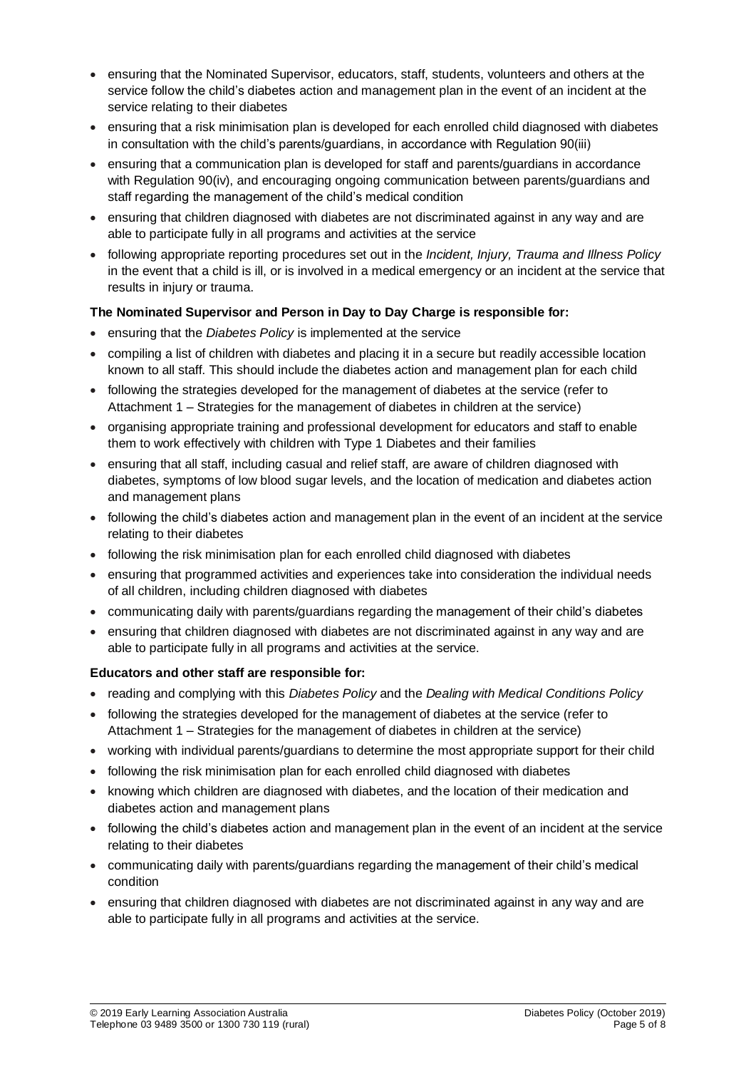- ensuring that the Nominated Supervisor, educators, staff, students, volunteers and others at the service follow the child's diabetes action and management plan in the event of an incident at the service relating to their diabetes
- ensuring that a risk minimisation plan is developed for each enrolled child diagnosed with diabetes in consultation with the child's parents/guardians, in accordance with Regulation 90(iii)
- ensuring that a communication plan is developed for staff and parents/guardians in accordance with Regulation 90(iv), and encouraging ongoing communication between parents/guardians and staff regarding the management of the child's medical condition
- ensuring that children diagnosed with diabetes are not discriminated against in any way and are able to participate fully in all programs and activities at the service
- following appropriate reporting procedures set out in the *Incident, Injury, Trauma and Illness Policy* in the event that a child is ill, or is involved in a medical emergency or an incident at the service that results in injury or trauma.

### **The Nominated Supervisor and Person in Day to Day Charge is responsible for:**

- ensuring that the *Diabetes Policy* is implemented at the service
- compiling a list of children with diabetes and placing it in a secure but readily accessible location known to all staff. This should include the diabetes action and management plan for each child
- following the strategies developed for the management of diabetes at the service (refer to Attachment 1 – Strategies for the management of diabetes in children at the service)
- organising appropriate training and professional development for educators and staff to enable them to work effectively with children with Type 1 Diabetes and their families
- ensuring that all staff, including casual and relief staff, are aware of children diagnosed with diabetes, symptoms of low blood sugar levels, and the location of medication and diabetes action and management plans
- following the child's diabetes action and management plan in the event of an incident at the service relating to their diabetes
- following the risk minimisation plan for each enrolled child diagnosed with diabetes
- ensuring that programmed activities and experiences take into consideration the individual needs of all children, including children diagnosed with diabetes
- communicating daily with parents/guardians regarding the management of their child's diabetes
- ensuring that children diagnosed with diabetes are not discriminated against in any way and are able to participate fully in all programs and activities at the service.

## **Educators and other staff are responsible for:**

- reading and complying with this *Diabetes Policy* and the *Dealing with Medical Conditions Policy*
- following the strategies developed for the management of diabetes at the service (refer to Attachment 1 – Strategies for the management of diabetes in children at the service)
- working with individual parents/guardians to determine the most appropriate support for their child
- following the risk minimisation plan for each enrolled child diagnosed with diabetes
- knowing which children are diagnosed with diabetes, and the location of their medication and diabetes action and management plans
- following the child's diabetes action and management plan in the event of an incident at the service relating to their diabetes
- communicating daily with parents/guardians regarding the management of their child's medical condition
- ensuring that children diagnosed with diabetes are not discriminated against in any way and are able to participate fully in all programs and activities at the service.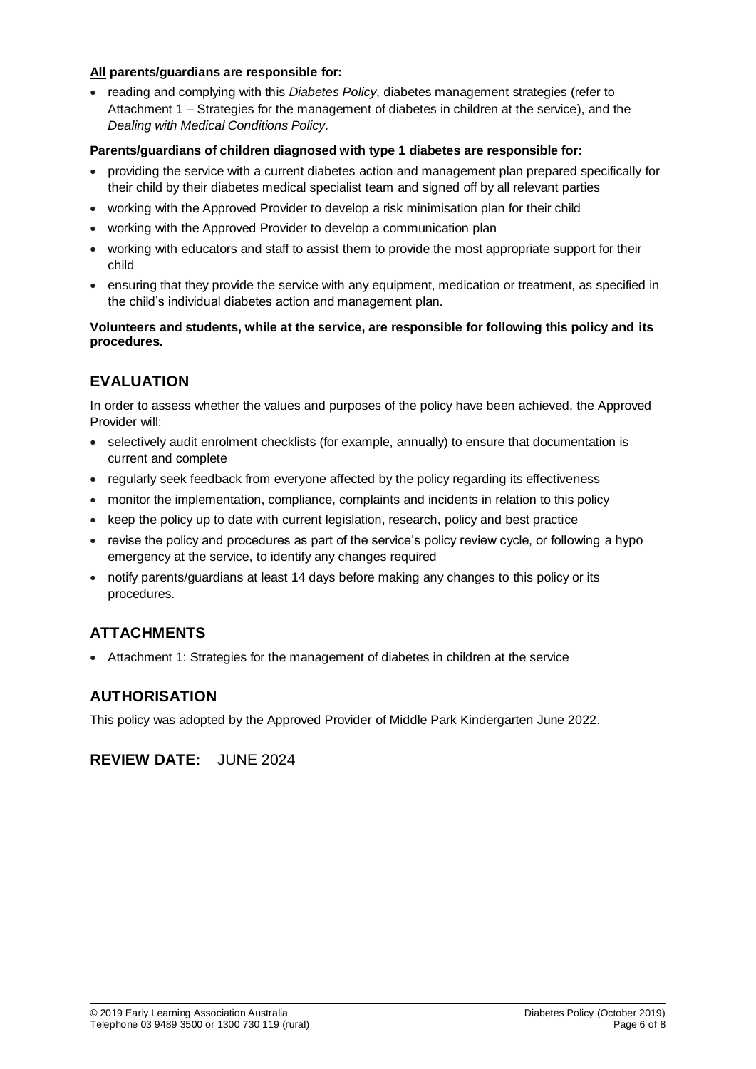#### **All parents/guardians are responsible for:**

• reading and complying with this *Diabetes Policy*, diabetes management strategies (refer to Attachment 1 – Strategies for the management of diabetes in children at the service), and the *Dealing with Medical Conditions Policy.*

#### **Parents/guardians of children diagnosed with type 1 diabetes are responsible for:**

- providing the service with a current diabetes action and management plan prepared specifically for their child by their diabetes medical specialist team and signed off by all relevant parties
- working with the Approved Provider to develop a risk minimisation plan for their child
- working with the Approved Provider to develop a communication plan
- working with educators and staff to assist them to provide the most appropriate support for their child
- ensuring that they provide the service with any equipment, medication or treatment, as specified in the child's individual diabetes action and management plan.

#### **Volunteers and students, while at the service, are responsible for following this policy and its procedures.**

## **EVALUATION**

In order to assess whether the values and purposes of the policy have been achieved, the Approved Provider will:

- selectively audit enrolment checklists (for example, annually) to ensure that documentation is current and complete
- regularly seek feedback from everyone affected by the policy regarding its effectiveness
- monitor the implementation, compliance, complaints and incidents in relation to this policy
- keep the policy up to date with current legislation, research, policy and best practice
- revise the policy and procedures as part of the service's policy review cycle, or following a hypo emergency at the service, to identify any changes required
- notify parents/guardians at least 14 days before making any changes to this policy or its procedures.

## **ATTACHMENTS**

Attachment 1: Strategies for the management of diabetes in children at the service

## **AUTHORISATION**

This policy was adopted by the Approved Provider of Middle Park Kindergarten June 2022.

**REVIEW DATE:** JUNE 2024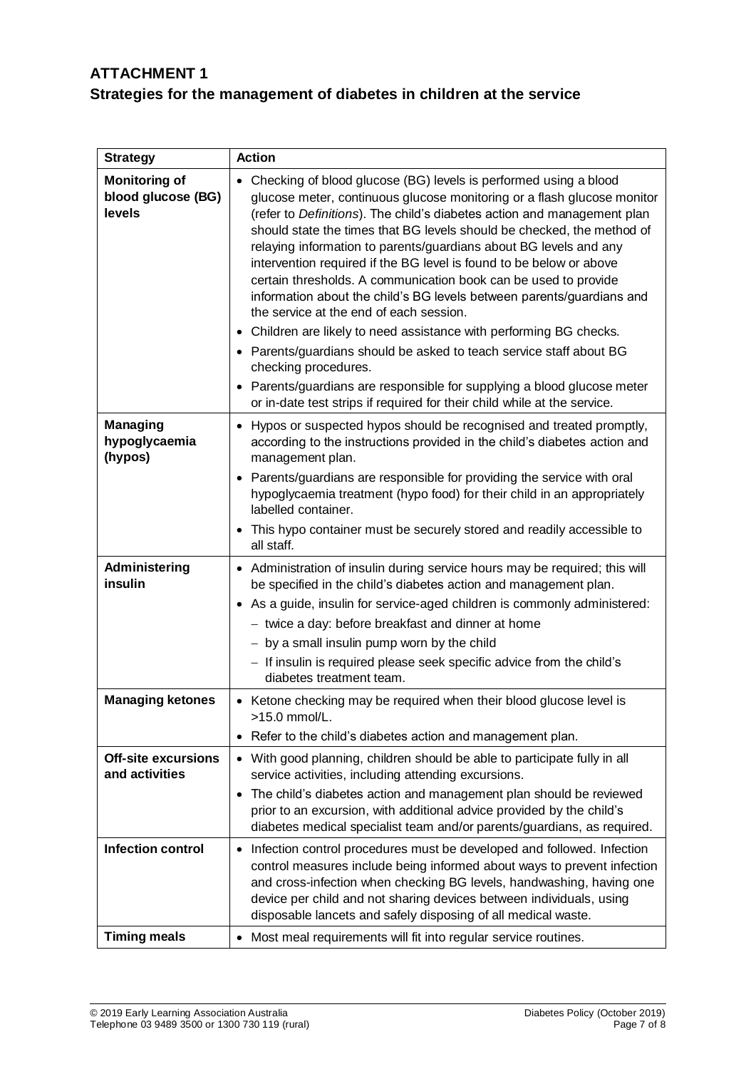## **ATTACHMENT 1 Strategies for the management of diabetes in children at the service**

| <b>Strategy</b>                                      | <b>Action</b>                                                                                                                                                                                                                                                                                                                                                                                                                                                                                                                                                                                                                                                                                                                                                                                                                                                                                                                                                                                       |
|------------------------------------------------------|-----------------------------------------------------------------------------------------------------------------------------------------------------------------------------------------------------------------------------------------------------------------------------------------------------------------------------------------------------------------------------------------------------------------------------------------------------------------------------------------------------------------------------------------------------------------------------------------------------------------------------------------------------------------------------------------------------------------------------------------------------------------------------------------------------------------------------------------------------------------------------------------------------------------------------------------------------------------------------------------------------|
| <b>Monitoring of</b><br>blood glucose (BG)<br>levels | Checking of blood glucose (BG) levels is performed using a blood<br>$\bullet$<br>glucose meter, continuous glucose monitoring or a flash glucose monitor<br>(refer to Definitions). The child's diabetes action and management plan<br>should state the times that BG levels should be checked, the method of<br>relaying information to parents/guardians about BG levels and any<br>intervention required if the BG level is found to be below or above<br>certain thresholds. A communication book can be used to provide<br>information about the child's BG levels between parents/guardians and<br>the service at the end of each session.<br>Children are likely to need assistance with performing BG checks.<br>$\bullet$<br>• Parents/guardians should be asked to teach service staff about BG<br>checking procedures.<br>Parents/guardians are responsible for supplying a blood glucose meter<br>$\bullet$<br>or in-date test strips if required for their child while at the service. |
| <b>Managing</b><br>hypoglycaemia<br>(hypos)          | Hypos or suspected hypos should be recognised and treated promptly,<br>$\bullet$<br>according to the instructions provided in the child's diabetes action and<br>management plan.                                                                                                                                                                                                                                                                                                                                                                                                                                                                                                                                                                                                                                                                                                                                                                                                                   |
|                                                      | Parents/guardians are responsible for providing the service with oral<br>$\bullet$<br>hypoglycaemia treatment (hypo food) for their child in an appropriately<br>labelled container.                                                                                                                                                                                                                                                                                                                                                                                                                                                                                                                                                                                                                                                                                                                                                                                                                |
|                                                      | This hypo container must be securely stored and readily accessible to<br>$\bullet$<br>all staff.                                                                                                                                                                                                                                                                                                                                                                                                                                                                                                                                                                                                                                                                                                                                                                                                                                                                                                    |
| Administering<br>insulin                             | Administration of insulin during service hours may be required; this will<br>$\bullet$<br>be specified in the child's diabetes action and management plan.<br>As a guide, insulin for service-aged children is commonly administered:<br>$\bullet$<br>- twice a day: before breakfast and dinner at home<br>- by a small insulin pump worn by the child<br>- If insulin is required please seek specific advice from the child's<br>diabetes treatment team.                                                                                                                                                                                                                                                                                                                                                                                                                                                                                                                                        |
| <b>Managing ketones</b>                              | • Ketone checking may be required when their blood glucose level is<br>>15.0 mmol/L.<br>Refer to the child's diabetes action and management plan.<br>٠                                                                                                                                                                                                                                                                                                                                                                                                                                                                                                                                                                                                                                                                                                                                                                                                                                              |
| <b>Off-site excursions</b><br>and activities         | • With good planning, children should be able to participate fully in all<br>service activities, including attending excursions.<br>The child's diabetes action and management plan should be reviewed<br>$\bullet$<br>prior to an excursion, with additional advice provided by the child's<br>diabetes medical specialist team and/or parents/guardians, as required.                                                                                                                                                                                                                                                                                                                                                                                                                                                                                                                                                                                                                             |
| <b>Infection control</b>                             | Infection control procedures must be developed and followed. Infection<br>$\bullet$<br>control measures include being informed about ways to prevent infection<br>and cross-infection when checking BG levels, handwashing, having one<br>device per child and not sharing devices between individuals, using<br>disposable lancets and safely disposing of all medical waste.                                                                                                                                                                                                                                                                                                                                                                                                                                                                                                                                                                                                                      |
| <b>Timing meals</b>                                  | Most meal requirements will fit into regular service routines.<br>$\bullet$                                                                                                                                                                                                                                                                                                                                                                                                                                                                                                                                                                                                                                                                                                                                                                                                                                                                                                                         |